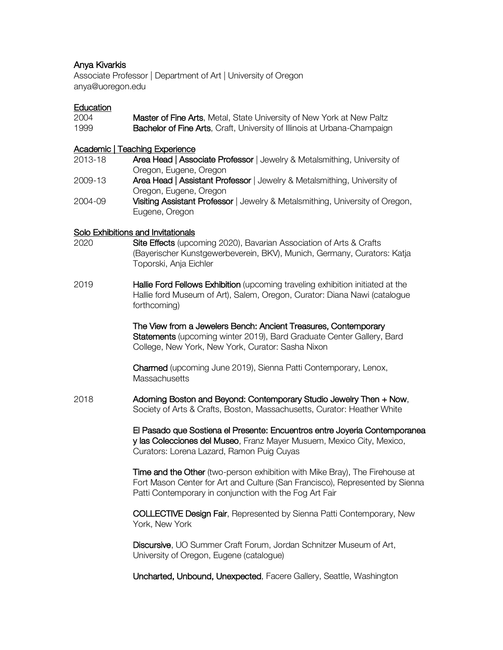# Anya Kivarkis

Associate Professor | Department of Art | University of Oregon anya@uoregon.edu

#### **Education**

| 2004 | <b>Master of Fine Arts, Metal, State University of New York at New Paltz</b>    |
|------|---------------------------------------------------------------------------------|
| 1999 | <b>Bachelor of Fine Arts, Craft, University of Illinois at Urbana-Champaign</b> |

#### Academic | Teaching Experience

| 2013-18 | Area Head   Associate Professor   Jewelry & Metalsmithing, University of      |
|---------|-------------------------------------------------------------------------------|
|         | Oregon, Eugene, Oregon                                                        |
| 2009-13 | Area Head   Assistant Professor   Jewelry & Metalsmithing, University of      |
|         | Oregon, Eugene, Oregon                                                        |
| 2004-09 | Visiting Assistant Professor   Jewelry & Metalsmithing, University of Oregon, |
|         | Eugene, Oregon                                                                |

### Solo Exhibitions and Invitationals

- 2020 Site Effects (upcoming 2020), Bavarian Association of Arts & Crafts (Bayerischer Kunstgewerbeverein, BKV), Munich, Germany, Curators: Katja Toporski, Anja Eichler
- 2019 **Hallie Ford Fellows Exhibition** (upcoming traveling exhibition initiated at the Hallie ford Museum of Art), Salem, Oregon, Curator: Diana Nawi (catalogue forthcoming)

The View from a Jewelers Bench: Ancient Treasures, Contemporary Statements (upcoming winter 2019), Bard Graduate Center Gallery, Bard College, New York, New York, Curator: Sasha Nixon

Charmed (upcoming June 2019), Sienna Patti Contemporary, Lenox, **Massachusetts** 

2018 Adorning Boston and Beyond: Contemporary Studio Jewelry Then + Now, Society of Arts & Crafts, Boston, Massachusetts, Curator: Heather White

> El Pasado que Sostiena el Presente: Encuentros entre Joyeria Contemporanea y las Colecciones del Museo, Franz Mayer Musuem, Mexico City, Mexico, Curators: Lorena Lazard, Ramon Puig Cuyas

> **Time and the Other** (two-person exhibition with Mike Bray), The Firehouse at Fort Mason Center for Art and Culture (San Francisco), Represented by Sienna Patti Contemporary in conjunction with the Fog Art Fair

COLLECTIVE Design Fair, Represented by Sienna Patti Contemporary, New York, New York

Discursive, UO Summer Craft Forum, Jordan Schnitzer Museum of Art, University of Oregon, Eugene (catalogue)

Uncharted, Unbound, Unexpected, Facere Gallery, Seattle, Washington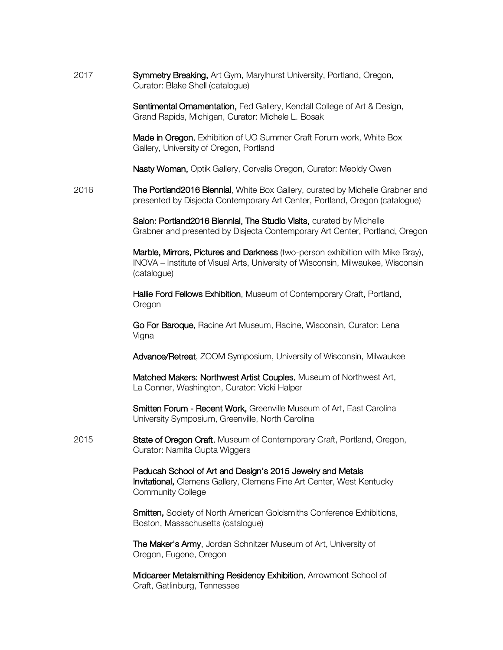2017 **Symmetry Breaking, Art Gym, Marylhurst University, Portland, Oregon,** Curator: Blake Shell (catalogue)

> Sentimental Ornamentation, Fed Gallery, Kendall College of Art & Design, Grand Rapids, Michigan, Curator: Michele L. Bosak

> Made in Oregon, Exhibition of UO Summer Craft Forum work, White Box Gallery, University of Oregon, Portland

Nasty Woman, Optik Gallery, Corvalis Oregon, Curator: Meoldy Owen

2016 The Portland2016 Biennial, White Box Gallery, curated by Michelle Grabner and presented by Disjecta Contemporary Art Center, Portland, Oregon (catalogue)

> Salon: Portland2016 Biennial, The Studio Visits, curated by Michelle Grabner and presented by Disjecta Contemporary Art Center, Portland, Oregon

Marble, Mirrors, Pictures and Darkness (two-person exhibition with Mike Bray), INOVA – Institute of Visual Arts, University of Wisconsin, Milwaukee, Wisconsin (catalogue)

Hallie Ford Fellows Exhibition, Museum of Contemporary Craft, Portland, Oregon

Go For Baroque, Racine Art Museum, Racine, Wisconsin, Curator: Lena Vigna

Advance/Retreat, ZOOM Symposium, University of Wisconsin, Milwaukee

Matched Makers: Northwest Artist Couples, Museum of Northwest Art, La Conner, Washington, Curator: Vicki Halper

Smitten Forum - Recent Work, Greenville Museum of Art, East Carolina University Symposium, Greenville, North Carolina

2015 **State of Oregon Craft**, Museum of Contemporary Craft, Portland, Oregon, Curator: Namita Gupta Wiggers

> Paducah School of Art and Design's 2015 Jewelry and Metals Invitational, Clemens Gallery, Clemens Fine Art Center, West Kentucky Community College

Smitten, Society of North American Goldsmiths Conference Exhibitions, Boston, Massachusetts (catalogue)

The Maker's Army, Jordan Schnitzer Museum of Art, University of Oregon, Eugene, Oregon

Midcareer Metalsmithing Residency Exhibition, Arrowmont School of Craft, Gatlinburg, Tennessee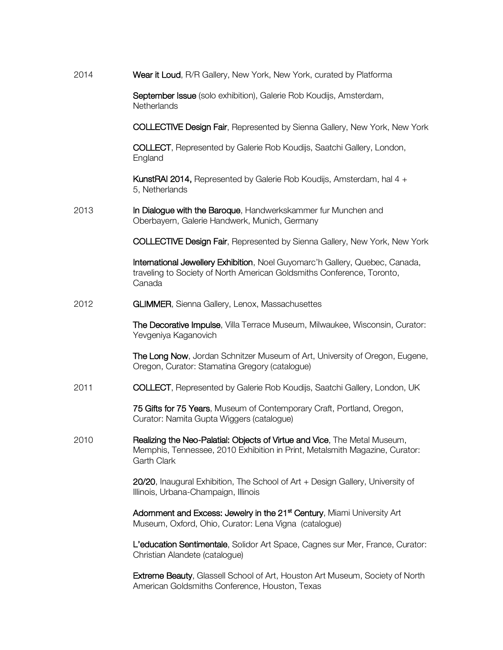| 2014 | Wear it Loud, R/R Gallery, New York, New York, curated by Platforma                                                                                                     |
|------|-------------------------------------------------------------------------------------------------------------------------------------------------------------------------|
|      | September Issue (solo exhibition), Galerie Rob Koudijs, Amsterdam,<br>Netherlands                                                                                       |
|      | <b>COLLECTIVE Design Fair, Represented by Sienna Gallery, New York, New York</b>                                                                                        |
|      | <b>COLLECT</b> , Represented by Galerie Rob Koudijs, Saatchi Gallery, London,<br>England                                                                                |
|      | KunstRAI 2014, Represented by Galerie Rob Koudijs, Amsterdam, hal 4 +<br>5, Netherlands                                                                                 |
| 2013 | In Dialogue with the Baroque, Handwerkskammer fur Munchen and<br>Oberbayern, Galerie Handwerk, Munich, Germany                                                          |
|      | <b>COLLECTIVE Design Fair, Represented by Sienna Gallery, New York, New York</b>                                                                                        |
|      | International Jewellery Exhibition, Noel Guyomarc'h Gallery, Quebec, Canada,<br>traveling to Society of North American Goldsmiths Conference, Toronto,<br>Canada        |
| 2012 | GLIMMER, Sienna Gallery, Lenox, Massachusettes                                                                                                                          |
|      | The Decorative Impulse, Villa Terrace Museum, Milwaukee, Wisconsin, Curator:<br>Yevgeniya Kaganovich                                                                    |
|      | The Long Now, Jordan Schnitzer Museum of Art, University of Oregon, Eugene,<br>Oregon, Curator: Stamatina Gregory (catalogue)                                           |
| 2011 | <b>COLLECT</b> , Represented by Galerie Rob Koudijs, Saatchi Gallery, London, UK                                                                                        |
|      | 75 Gifts for 75 Years, Museum of Contemporary Craft, Portland, Oregon,<br>Curator: Namita Gupta Wiggers (catalogue)                                                     |
| 2010 | Realizing the Neo-Palatial: Objects of Virtue and Vice, The Metal Museum,<br>Memphis, Tennessee, 2010 Exhibition in Print, Metalsmith Magazine, Curator:<br>Garth Clark |
|      | 20/20, Inaugural Exhibition, The School of Art + Design Gallery, University of<br>Illinois, Urbana-Champaign, Illinois                                                  |
|      | Adomment and Excess: Jewelry in the 21 <sup>st</sup> Century, Miami University Art<br>Museum, Oxford, Ohio, Curator: Lena Vigna (catalogue)                             |
|      | L'education Sentimentale, Solidor Art Space, Cagnes sur Mer, France, Curator:<br>Christian Alandete (catalogue)                                                         |
|      | Extreme Beauty, Glassell School of Art, Houston Art Museum, Society of North<br>American Goldsmiths Conference, Houston, Texas                                          |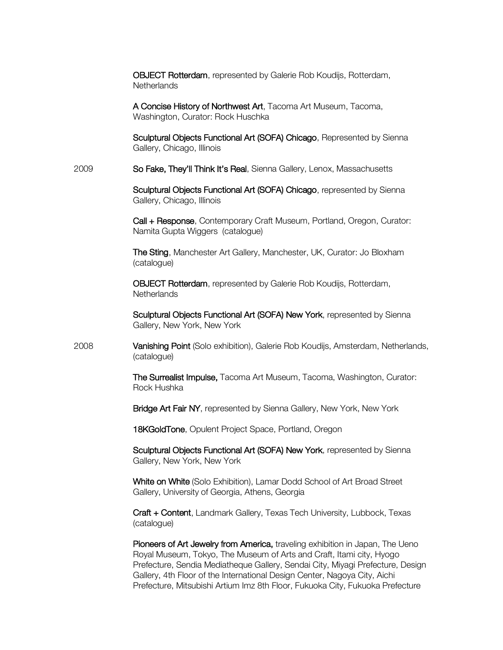|      | <b>OBJECT Rotterdam, represented by Galerie Rob Koudijs, Rotterdam,</b><br>Netherlands                                                                |
|------|-------------------------------------------------------------------------------------------------------------------------------------------------------|
|      | A Concise History of Northwest Art, Tacoma Art Museum, Tacoma,<br>Washington, Curator: Rock Huschka                                                   |
|      | Sculptural Objects Functional Art (SOFA) Chicago, Represented by Sienna<br>Gallery, Chicago, Illinois                                                 |
| 2009 | So Fake, They'll Think It's Real, Sienna Gallery, Lenox, Massachusetts                                                                                |
|      | Sculptural Objects Functional Art (SOFA) Chicago, represented by Sienna<br>Gallery, Chicago, Illinois                                                 |
|      | Call + Response, Contemporary Craft Museum, Portland, Oregon, Curator:<br>Namita Gupta Wiggers (catalogue)                                            |
|      | The Sting, Manchester Art Gallery, Manchester, UK, Curator: Jo Bloxham<br>(catalogue)                                                                 |
|      | OBJECT Rotterdam, represented by Galerie Rob Koudijs, Rotterdam,<br>Netherlands                                                                       |
|      | Sculptural Objects Functional Art (SOFA) New York, represented by Sienna<br>Gallery, New York, New York                                               |
| 2008 | Vanishing Point (Solo exhibition), Galerie Rob Koudijs, Amsterdam, Netherlands,<br>(catalogue)                                                        |
|      | The Surrealist Impulse, Tacoma Art Museum, Tacoma, Washington, Curator:<br>Rock Hushka                                                                |
|      | Bridge Art Fair NY, represented by Sienna Gallery, New York, New York                                                                                 |
|      | 18KGoldTone, Opulent Project Space, Portland, Oregon                                                                                                  |
|      | Sculptural Objects Functional Art (SOFA) New York, represented by Sienna<br>Gallery, New York, New York                                               |
|      | White on White (Solo Exhibition), Lamar Dodd School of Art Broad Street<br>Gallery, University of Georgia, Athens, Georgia                            |
|      | Craft + Content, Landmark Gallery, Texas Tech University, Lubbock, Texas<br>(catalogue)                                                               |
|      | Pioneers of Art Jewelry from America, traveling exhibition in Japan, The Ueno<br>Royal Museum, Tokyo, The Museum of Arts and Craft, Itami city, Hyogo |

Prefecture, Sendia Mediatheque Gallery, Sendai City, Miyagi Prefecture, Design Gallery, 4th Floor of the International Design Center, Nagoya City, Aichi Prefecture, Mitsubishi Artium Imz 8th Floor, Fukuoka City, Fukuoka Prefecture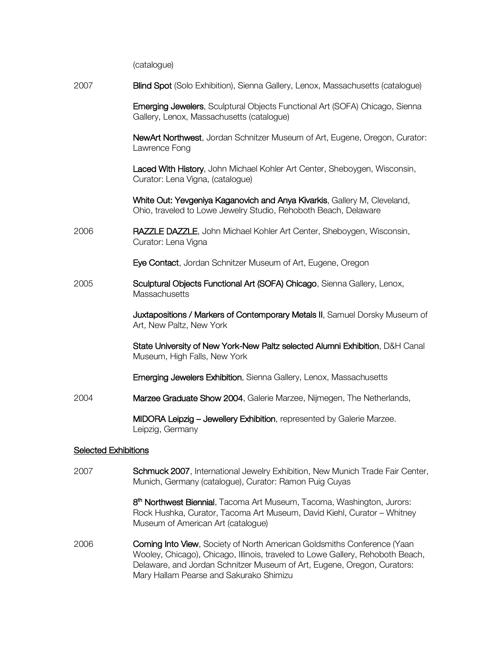(catalogue) 2007 **Blind Spot** (Solo Exhibition), Sienna Gallery, Lenox, Massachusetts (catalogue) Emerging Jewelers, Sculptural Objects Functional Art (SOFA) Chicago, Sienna Gallery, Lenox, Massachusetts (catalogue) NewArt Northwest, Jordan Schnitzer Museum of Art, Eugene, Oregon, Curator: Lawrence Fong Laced With History, John Michael Kohler Art Center, Sheboygen, Wisconsin, Curator: Lena Vigna, (catalogue) White Out: Yevgeniya Kaganovich and Anya Kivarkis, Gallery M, Cleveland, Ohio, traveled to Lowe Jewelry Studio, Rehoboth Beach, Delaware 2006 RAZZLE DAZZLE, John Michael Kohler Art Center, Sheboygen, Wisconsin, Curator: Lena Vigna Eye Contact, Jordan Schnitzer Museum of Art, Eugene, Oregon 2005 Sculptural Objects Functional Art (SOFA) Chicago, Sienna Gallery, Lenox, **Massachusetts** Juxtapositions / Markers of Contemporary Metals II, Samuel Dorsky Museum of Art, New Paltz, New York State University of New York-New Paltz selected Alumni Exhibition, D&H Canal Museum, High Falls, New York Emerging Jewelers Exhibition, Sienna Gallery, Lenox, Massachusetts 2004 Marzee Graduate Show 2004, Galerie Marzee, Nijmegen, The Netherlands, MIDORA Leipzig – Jewellery Exhibition, represented by Galerie Marzee. Leipzig, Germany Selected Exhibitions 2007 Schmuck 2007, International Jewelry Exhibition, New Munich Trade Fair Center, Munich, Germany (catalogue), Curator: Ramon Puig Cuyas 8<sup>th</sup> Northwest Biennial, Tacoma Art Museum, Tacoma, Washington, Jurors:

2006 **Coming Into View**, Society of North American Goldsmiths Conference (Yaan Wooley, Chicago), Chicago, Illinois, traveled to Lowe Gallery, Rehoboth Beach, Delaware, and Jordan Schnitzer Museum of Art, Eugene, Oregon, Curators: Mary Hallam Pearse and Sakurako Shimizu

Museum of American Art (catalogue)

Rock Hushka, Curator, Tacoma Art Museum, David Kiehl, Curator – Whitney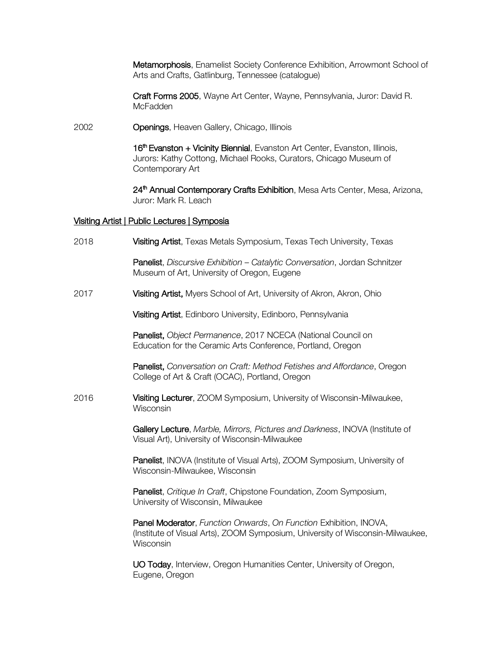Metamorphosis, Enamelist Society Conference Exhibition, Arrowmont School of Arts and Crafts, Gatlinburg, Tennessee (catalogue)

Craft Forms 2005, Wayne Art Center, Wayne, Pennsylvania, Juror: David R. **McFadden** 

2002 Openings, Heaven Gallery, Chicago, Illinois

16<sup>th</sup> Evanston + Vicinity Biennial, Evanston Art Center, Evanston, Illinois, Jurors: Kathy Cottong, Michael Rooks, Curators, Chicago Museum of Contemporary Art

24<sup>th</sup> Annual Contemporary Crafts Exhibition, Mesa Arts Center, Mesa, Arizona, Juror: Mark R. Leach

#### Visiting Artist | Public Lectures | Symposia

| 2018 | Visiting Artist, Texas Metals Symposium, Texas Tech University, Texas                                                                                            |
|------|------------------------------------------------------------------------------------------------------------------------------------------------------------------|
|      | Panelist, Discursive Exhibition - Catalytic Conversation, Jordan Schnitzer<br>Museum of Art, University of Oregon, Eugene                                        |
| 2017 | Visiting Artist, Myers School of Art, University of Akron, Akron, Ohio                                                                                           |
|      | Visiting Artist, Edinboro University, Edinboro, Pennsylvania                                                                                                     |
|      | Panelist, Object Permanence, 2017 NCECA (National Council on<br>Education for the Ceramic Arts Conference, Portland, Oregon                                      |
|      | Panelist, Conversation on Craft: Method Fetishes and Affordance, Oregon<br>College of Art & Craft (OCAC), Portland, Oregon                                       |
| 2016 | Visiting Lecturer, ZOOM Symposium, University of Wisconsin-Milwaukee,<br>Wisconsin                                                                               |
|      | Gallery Lecture, Marble, Mirrors, Pictures and Darkness, INOVA (Institute of<br>Visual Art), University of Wisconsin-Milwaukee                                   |
|      | Panelist, INOVA (Institute of Visual Arts), ZOOM Symposium, University of<br>Wisconsin-Milwaukee, Wisconsin                                                      |
|      | Panelist, Critique In Craft, Chipstone Foundation, Zoom Symposium,<br>University of Wisconsin, Milwaukee                                                         |
|      | Panel Moderator, Function Onwards, On Function Exhibition, INOVA,<br>(Institute of Visual Arts), ZOOM Symposium, University of Wisconsin-Milwaukee,<br>Wisconsin |
|      | UO Today, Interview, Oregon Humanities Center, University of Oregon,<br>Eugene, Oregon                                                                           |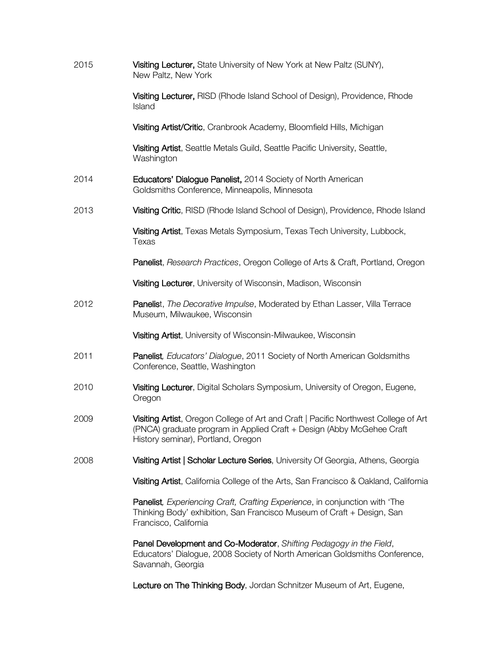| 2015 | Visiting Lecturer, State University of New York at New Paltz (SUNY),<br>New Paltz, New York                                                                                                        |
|------|----------------------------------------------------------------------------------------------------------------------------------------------------------------------------------------------------|
|      | Visiting Lecturer, RISD (Rhode Island School of Design), Providence, Rhode<br>Island                                                                                                               |
|      | Visiting Artist/Critic, Cranbrook Academy, Bloomfield Hills, Michigan                                                                                                                              |
|      | Visiting Artist, Seattle Metals Guild, Seattle Pacific University, Seattle,<br>Washington                                                                                                          |
| 2014 | Educators' Dialogue Panelist, 2014 Society of North American<br>Goldsmiths Conference, Minneapolis, Minnesota                                                                                      |
| 2013 | Visiting Critic, RISD (Rhode Island School of Design), Providence, Rhode Island                                                                                                                    |
|      | Visiting Artist, Texas Metals Symposium, Texas Tech University, Lubbock,<br>Texas                                                                                                                  |
|      | Panelist, Research Practices, Oregon College of Arts & Craft, Portland, Oregon                                                                                                                     |
|      | Visiting Lecturer, University of Wisconsin, Madison, Wisconsin                                                                                                                                     |
| 2012 | Panelist, The Decorative Impulse, Moderated by Ethan Lasser, Villa Terrace<br>Museum, Milwaukee, Wisconsin                                                                                         |
|      | Visiting Artist, University of Wisconsin-Milwaukee, Wisconsin                                                                                                                                      |
| 2011 | Panelist, Educators' Dialogue, 2011 Society of North American Goldsmiths<br>Conference, Seattle, Washington                                                                                        |
| 2010 | Visiting Lecturer, Digital Scholars Symposium, University of Oregon, Eugene,<br>Oregon                                                                                                             |
| 2009 | Visiting Artist, Oregon College of Art and Craft   Pacific Northwest College of Art<br>(PNCA) graduate program in Applied Craft + Design (Abby McGehee Craft<br>History seminar), Portland, Oregon |
| 2008 | Visiting Artist   Scholar Lecture Series, University Of Georgia, Athens, Georgia                                                                                                                   |
|      | Visiting Artist, California College of the Arts, San Francisco & Oakland, California                                                                                                               |
|      | Panelist, Experiencing Craft, Crafting Experience, in conjunction with 'The<br>Thinking Body' exhibition, San Francisco Museum of Craft + Design, San<br>Francisco, California                     |
|      | Panel Development and Co-Moderator, Shifting Pedagogy in the Field,<br>Educators' Dialogue, 2008 Society of North American Goldsmiths Conference,<br>Savannah, Georgia                             |
|      | Lecture on The Thinking Body, Jordan Schnitzer Museum of Art, Eugene,                                                                                                                              |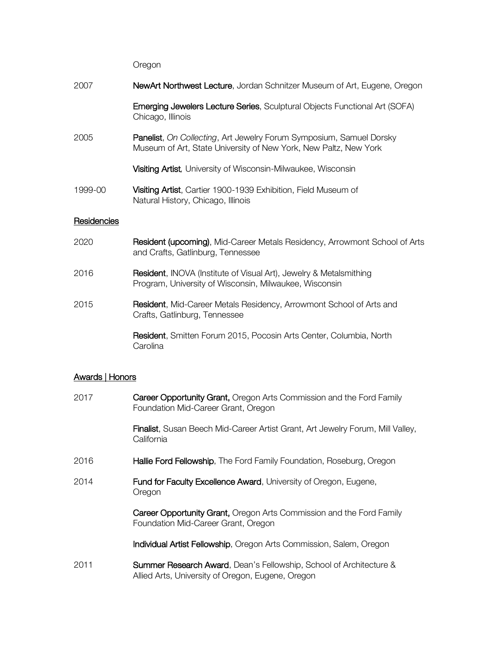#### Oregon

| 2007        | <b>NewArt Northwest Lecture,</b> Jordan Schnitzer Museum of Art, Eugene, Oregon                                                                |
|-------------|------------------------------------------------------------------------------------------------------------------------------------------------|
|             | <b>Emerging Jewelers Lecture Series, Sculptural Objects Functional Art (SOFA)</b><br>Chicago, Illinois                                         |
| 2005        | <b>Panelist, On Collecting, Art Jewelry Forum Symposium, Samuel Dorsky</b><br>Museum of Art, State University of New York, New Paltz, New York |
|             | <b>Visiting Artist, University of Wisconsin-Milwaukee, Wisconsin</b>                                                                           |
| 1999-00     | <b>Visiting Artist, Cartier 1900-1939 Exhibition, Field Museum of</b><br>Natural History, Chicago, Illinois                                    |
| Residencies |                                                                                                                                                |
| 2020        | <b>Resident (upcoming), Mid-Career Metals Residency, Arrowmont School of Arts</b>                                                              |

2016 **Resident**, INOVA (Institute of Visual Art), Jewelry & Metalsmithing Program, University of Wisconsin, Milwaukee, Wisconsin

and Crafts, Gatlinburg, Tennessee

2015 **Resident, Mid-Career Metals Residency, Arrowmont School of Arts and** Crafts, Gatlinburg, Tennessee

> Resident, Smitten Forum 2015, Pocosin Arts Center, Columbia, North **Carolina**

# Awards | Honors

| 2017 | Career Opportunity Grant, Oregon Arts Commission and the Ford Family<br>Foundation Mid-Career Grant, Oregon                        |
|------|------------------------------------------------------------------------------------------------------------------------------------|
|      | Finalist, Susan Beech Mid-Career Artist Grant, Art Jewelry Forum, Mill Valley,<br>California                                       |
| 2016 | Hallie Ford Fellowship, The Ford Family Foundation, Roseburg, Oregon                                                               |
| 2014 | Fund for Faculty Excellence Award, University of Oregon, Eugene,<br>Oregon                                                         |
|      | Career Opportunity Grant, Oregon Arts Commission and the Ford Family<br>Foundation Mid-Career Grant, Oregon                        |
|      | <b>Individual Artist Fellowship, Oregon Arts Commission, Salem, Oregon</b>                                                         |
| 2011 | <b>Summer Research Award, Dean's Fellowship, School of Architecture &amp;</b><br>Allied Arts, University of Oregon, Eugene, Oregon |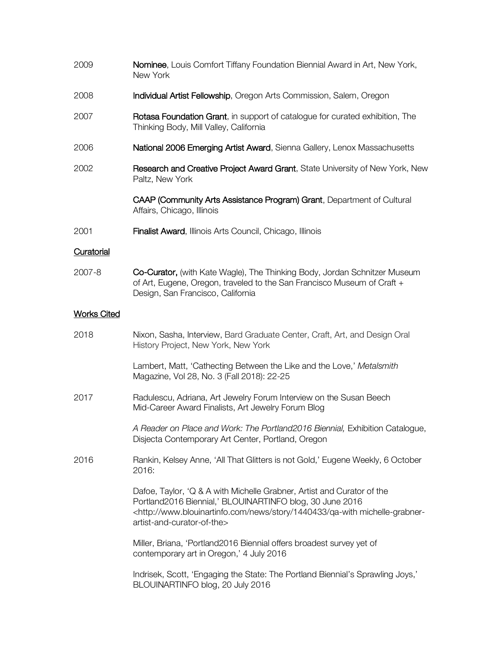| 2009               | Nominee, Louis Comfort Tiffany Foundation Biennial Award in Art, New York,<br>New York                                                                                                                                                                                     |
|--------------------|----------------------------------------------------------------------------------------------------------------------------------------------------------------------------------------------------------------------------------------------------------------------------|
| 2008               | Individual Artist Fellowship, Oregon Arts Commission, Salem, Oregon                                                                                                                                                                                                        |
| 2007               | Rotasa Foundation Grant, in support of catalogue for curated exhibition, The<br>Thinking Body, Mill Valley, California                                                                                                                                                     |
| 2006               | National 2006 Emerging Artist Award, Sienna Gallery, Lenox Massachusetts                                                                                                                                                                                                   |
| 2002               | Research and Creative Project Award Grant, State University of New York, New<br>Paltz, New York                                                                                                                                                                            |
|                    | CAAP (Community Arts Assistance Program) Grant, Department of Cultural<br>Affairs, Chicago, Illinois                                                                                                                                                                       |
| 2001               | Finalist Award, Illinois Arts Council, Chicago, Illinois                                                                                                                                                                                                                   |
| Curatorial         |                                                                                                                                                                                                                                                                            |
| 2007-8             | Co-Curator, (with Kate Wagle), The Thinking Body, Jordan Schnitzer Museum<br>of Art, Eugene, Oregon, traveled to the San Francisco Museum of Craft +<br>Design, San Francisco, California                                                                                  |
| <b>Works Cited</b> |                                                                                                                                                                                                                                                                            |
| 2018               | Nixon, Sasha, Interview, Bard Graduate Center, Craft, Art, and Design Oral<br>History Project, New York, New York                                                                                                                                                          |
|                    | Lambert, Matt, 'Cathecting Between the Like and the Love,' Metalsmith<br>Magazine, Vol 28, No. 3 (Fall 2018): 22-25                                                                                                                                                        |
| 2017               | Radulescu, Adriana, Art Jewelry Forum Interview on the Susan Beech<br>Mid-Career Award Finalists, Art Jewelry Forum Blog                                                                                                                                                   |
|                    | A Reader on Place and Work: The Portland2016 Biennial, Exhibition Catalogue,<br>Disjecta Contemporary Art Center, Portland, Oregon                                                                                                                                         |
| 2016               | Rankin, Kelsey Anne, 'All That Glitters is not Gold,' Eugene Weekly, 6 October<br>2016:                                                                                                                                                                                    |
|                    | Dafoe, Taylor, 'Q & A with Michelle Grabner, Artist and Curator of the<br>Portland2016 Biennial,' BLOUINARTINFO blog, 30 June 2016<br><http: 1440433="" michelle-grabner-<br="" news="" qa-with="" story="" www.blouinartinfo.com="">artist-and-curator-of-the&gt;</http:> |
|                    | Miller, Briana, 'Portland2016 Biennial offers broadest survey yet of<br>contemporary art in Oregon,' 4 July 2016                                                                                                                                                           |
|                    | Indrisek, Scott, 'Engaging the State: The Portland Biennial's Sprawling Joys,'<br>BLOUINARTINFO blog, 20 July 2016                                                                                                                                                         |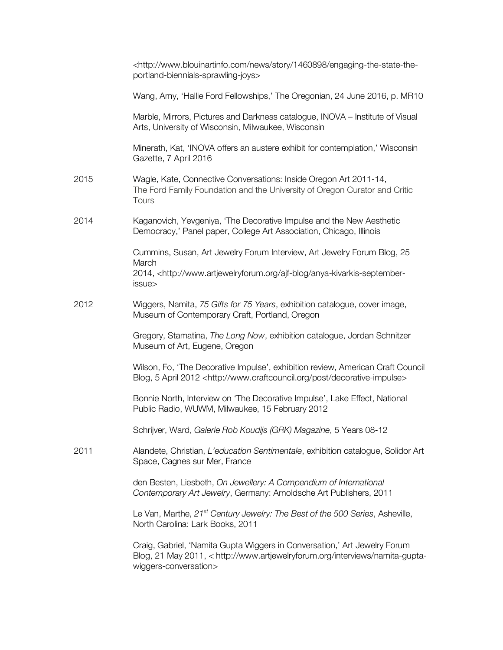|      | <http: 1460898="" engaging-the-state-the-<br="" news="" story="" www.blouinartinfo.com="">portland-biennials-sprawling-joys&gt;</http:>                                                  |
|------|------------------------------------------------------------------------------------------------------------------------------------------------------------------------------------------|
|      | Wang, Amy, 'Hallie Ford Fellowships,' The Oregonian, 24 June 2016, p. MR10                                                                                                               |
|      | Marble, Mirrors, Pictures and Darkness catalogue, INOVA - Institute of Visual<br>Arts, University of Wisconsin, Milwaukee, Wisconsin                                                     |
|      | Minerath, Kat, 'INOVA offers an austere exhibit for contemplation,' Wisconsin<br>Gazette, 7 April 2016                                                                                   |
| 2015 | Wagle, Kate, Connective Conversations: Inside Oregon Art 2011-14,<br>The Ford Family Foundation and the University of Oregon Curator and Critic<br>Tours                                 |
| 2014 | Kaganovich, Yevgeniya, 'The Decorative Impulse and the New Aesthetic<br>Democracy,' Panel paper, College Art Association, Chicago, Illinois                                              |
|      | Cummins, Susan, Art Jewelry Forum Interview, Art Jewelry Forum Blog, 25<br>March<br>2014, <http: ajf-blog="" anya-kivarkis-september-<br="" www.artjewelryforum.org="">issue&gt;</http:> |
| 2012 | Wiggers, Namita, 75 Gifts for 75 Years, exhibition catalogue, cover image,<br>Museum of Contemporary Craft, Portland, Oregon                                                             |
|      | Gregory, Stamatina, The Long Now, exhibition catalogue, Jordan Schnitzer<br>Museum of Art, Eugene, Oregon                                                                                |
|      | Wilson, Fo, 'The Decorative Impulse', exhibition review, American Craft Council<br>Blog, 5 April 2012 <http: decorative-impulse="" post="" www.craftcouncil.org=""></http:>              |
|      | Bonnie North, Interview on 'The Decorative Impulse', Lake Effect, National<br>Public Radio, WUWM, Milwaukee, 15 February 2012                                                            |
|      | Schrijver, Ward, Galerie Rob Koudijs (GRK) Magazine, 5 Years 08-12                                                                                                                       |
| 2011 | Alandete, Christian, L'education Sentimentale, exhibition catalogue, Solidor Art<br>Space, Cagnes sur Mer, France                                                                        |
|      | den Besten, Liesbeth, On Jewellery: A Compendium of International<br>Contemporary Art Jewelry, Germany: Arnoldsche Art Publishers, 2011                                                  |
|      | Le Van, Marthe, 21 <sup>st</sup> Century Jewelry: The Best of the 500 Series, Asheville,<br>North Carolina: Lark Books, 2011                                                             |
|      | Craig, Gabriel, 'Namita Gupta Wiggers in Conversation,' Art Jewelry Forum<br>Blog, 21 May 2011, < http://www.artjewelryforum.org/interviews/namita-gupta-<br>wiggers-conversation>       |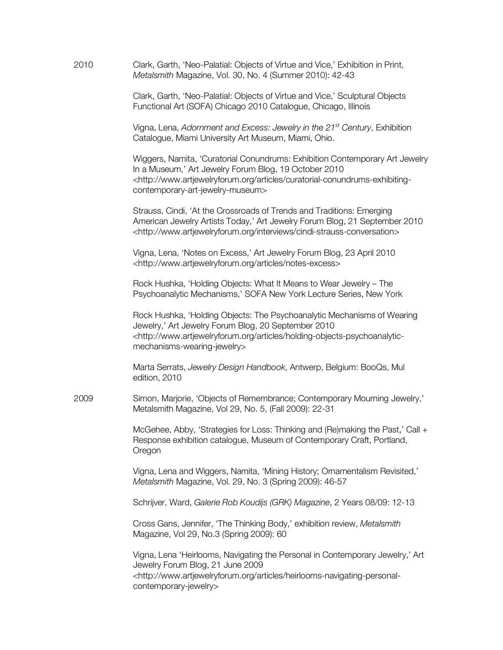| 2010 | Clark, Garth, 'Neo-Palatial: Objects of Virtue and Vice,' Exhibition in Print,<br>Metalsmith Magazine, Vol. 30, No. 4 (Summer 2010): 42-43                                                                                                                                 |
|------|----------------------------------------------------------------------------------------------------------------------------------------------------------------------------------------------------------------------------------------------------------------------------|
|      | Clark, Garth, 'Neo-Palatial: Objects of Virtue and Vice,' Sculptural Objects<br>Functional Art (SOFA) Chicago 2010 Catalogue, Chicago, Illinois                                                                                                                            |
|      | Vigna, Lena, Adornment and Excess: Jewelry in the 21 <sup>st</sup> Century, Exhibition<br>Catalogue, Miami University Art Museum, Miami, Ohio.                                                                                                                             |
|      | Wiggers, Namita, 'Curatorial Conundrums: Exhibition Contemporary Art Jewelry<br>In a Museum,' Art Jewelry Forum Blog, 19 October 2010<br><http: articles="" curatorial-conundrums-exhibiting-<br="" www.artjewelryforum.org="">contemporary-art-jewelry-museum&gt;</http:> |
|      | Strauss, Cindi, 'At the Crossroads of Trends and Traditions: Emerging<br>American Jewelry Artists Today,' Art Jewelry Forum Blog, 21 September 2010<br><http: cindi-strauss-conversation="" interviews="" www.artjewelryforum.org=""></http:>                              |
|      | Vigna, Lena, 'Notes on Excess,' Art Jewelry Forum Blog, 23 April 2010<br><http: articles="" notes-excess="" www.artjewelryforum.org=""></http:>                                                                                                                            |
|      | Rock Hushka, 'Holding Objects: What It Means to Wear Jewelry - The<br>Psychoanalytic Mechanisms,' SOFA New York Lecture Series, New York                                                                                                                                   |
|      | Rock Hushka, 'Holding Objects: The Psychoanalytic Mechanisms of Wearing<br>Jewelry,' Art Jewelry Forum Blog, 20 September 2010<br><http: articles="" holding-objects-psychoanalytic-<br="" www.artjewelryforum.org="">mechanisms-wearing-jewelry&gt;</http:>               |
|      | Marta Serrats, Jewelry Design Handbook, Antwerp, Belgium: BooQs, Mul<br>edition, 2010                                                                                                                                                                                      |
| 2009 | Simon, Marjorie, 'Objects of Remembrance; Contemporary Mourning Jewelry,'<br>Metalsmith Magazine, Vol 29, No. 5, (Fall 2009): 22-31                                                                                                                                        |
|      | McGehee, Abby, 'Strategies for Loss: Thinking and (Re)making the Past,' Call +<br>Response exhibition catalogue, Museum of Contemporary Craft, Portland,<br>Oregon                                                                                                         |
|      | Vigna, Lena and Wiggers, Namita, 'Mining History; Ornamentalism Revisited,'<br>Metalsmith Magazine, Vol. 29, No. 3 (Spring 2009): 46-57                                                                                                                                    |
|      | Schrijver, Ward, Galerie Rob Koudijs (GRK) Magazine, 2 Years 08/09: 12-13                                                                                                                                                                                                  |
|      | Cross Gans, Jennifer, 'The Thinking Body,' exhibition review, Metalsmith<br>Magazine, Vol 29, No.3 (Spring 2009): 60                                                                                                                                                       |
|      | Vigna, Lena 'Heirlooms, Navigating the Personal in Contemporary Jewelry,' Art<br>Jewelry Forum Blog, 21 June 2009<br><http: articles="" heirlooms-navigating-personal-<br="" www.artjewelryforum.org="">contemporary-jewelry&gt;</http:>                                   |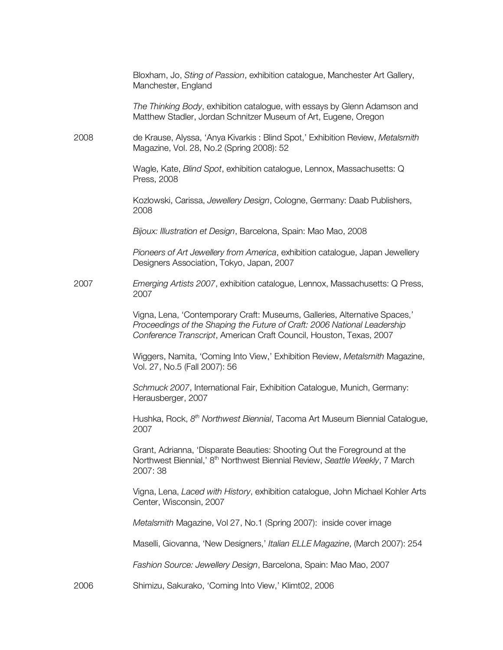|      | Bloxham, Jo, Sting of Passion, exhibition catalogue, Manchester Art Gallery,<br>Manchester, England                                                                                                                           |
|------|-------------------------------------------------------------------------------------------------------------------------------------------------------------------------------------------------------------------------------|
|      | The Thinking Body, exhibition catalogue, with essays by Glenn Adamson and<br>Matthew Stadler, Jordan Schnitzer Museum of Art, Eugene, Oregon                                                                                  |
| 2008 | de Krause, Alyssa, 'Anya Kivarkis : Blind Spot,' Exhibition Review, Metalsmith<br>Magazine, Vol. 28, No.2 (Spring 2008): 52                                                                                                   |
|      | Wagle, Kate, Blind Spot, exhibition catalogue, Lennox, Massachusetts: Q<br>Press, 2008                                                                                                                                        |
|      | Kozlowski, Carissa, Jewellery Design, Cologne, Germany: Daab Publishers,<br>2008                                                                                                                                              |
|      | Bijoux: Illustration et Design, Barcelona, Spain: Mao Mao, 2008                                                                                                                                                               |
|      | Pioneers of Art Jewellery from America, exhibition catalogue, Japan Jewellery<br>Designers Association, Tokyo, Japan, 2007                                                                                                    |
| 2007 | Emerging Artists 2007, exhibition catalogue, Lennox, Massachusetts: Q Press,<br>2007                                                                                                                                          |
|      | Vigna, Lena, 'Contemporary Craft: Museums, Galleries, Alternative Spaces,'<br>Proceedings of the Shaping the Future of Craft: 2006 National Leadership<br>Conference Transcript, American Craft Council, Houston, Texas, 2007 |
|      | Wiggers, Namita, 'Coming Into View,' Exhibition Review, Metalsmith Magazine,<br>Vol. 27, No.5 (Fall 2007): 56                                                                                                                 |
|      | Schmuck 2007, International Fair, Exhibition Catalogue, Munich, Germany:<br>Herausberger, 2007                                                                                                                                |
|      | Hushka, Rock, 8 <sup>th</sup> Northwest Biennial, Tacoma Art Museum Biennial Catalogue,<br>2007                                                                                                                               |
|      | Grant, Adrianna, 'Disparate Beauties: Shooting Out the Foreground at the<br>Northwest Biennial,' 8 <sup>th</sup> Northwest Biennial Review, Seattle Weekly, 7 March<br>2007:38                                                |
|      | Vigna, Lena, Laced with History, exhibition catalogue, John Michael Kohler Arts<br>Center, Wisconsin, 2007                                                                                                                    |
|      | Metalsmith Magazine, Vol 27, No.1 (Spring 2007): inside cover image                                                                                                                                                           |
|      | Maselli, Giovanna, 'New Designers,' Italian ELLE Magazine, (March 2007): 254                                                                                                                                                  |
|      | Fashion Source: Jewellery Design, Barcelona, Spain: Mao Mao, 2007                                                                                                                                                             |
| 2006 | Shimizu, Sakurako, 'Coming Into View,' Klimt02, 2006                                                                                                                                                                          |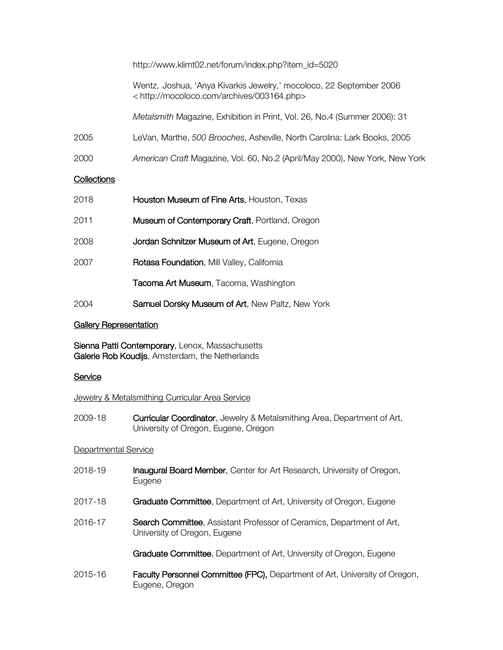|                    | http://www.klimt02.net/forum/index.php?item_id=5020                                                                              |
|--------------------|----------------------------------------------------------------------------------------------------------------------------------|
|                    | Wentz, Joshua, 'Anya Kivarkis Jewelry,' mocoloco, 22 September 2006<br><http: 003164.php="" archives="" mocoloco.com=""></http:> |
|                    | Metalsmith Magazine, Exhibition in Print, Vol. 26, No.4 (Summer 2006): 31                                                        |
| 2005               | LeVan, Marthe, 500 Brooches, Asheville, North Carolina: Lark Books, 2005                                                         |
| 2000               | American Craft Magazine, Vol. 60, No.2 (April/May 2000), New York, New York                                                      |
| <b>Collections</b> |                                                                                                                                  |
| 2018               | Houston Museum of Fine Arts, Houston, Texas                                                                                      |
| 2011               | Museum of Contemporary Craft, Portland, Oregon                                                                                   |
| 2008               | Jordan Schnitzer Museum of Art, Eugene, Oregon                                                                                   |
| 2007               | Rotasa Foundation, Mill Valley, California                                                                                       |
|                    | <b>Tacoma Art Museum</b> , Tacoma, Washington                                                                                    |

2004 Samuel Dorsky Museum of Art, New Paltz, New York

## **Gallery Representation**

Sienna Patti Contemporary, Lenox, Massachusetts Galerie Rob Koudijs, Amsterdam, the Netherlands

## **Service**

## **Jewelry & Metalsmithing Curricular Area Service**

2009-18 Curricular Coordinator, Jewelry & Metalsmithing Area, Department of Art, University of Oregon, Eugene, Oregon

# Departmental Service

- 2018-19 Inaugural Board Member, Center for Art Research, University of Oregon, Eugene
- 2017-18 **Graduate Committee**, Department of Art, University of Oregon, Eugene
- 2016-17 Search Committee, Assistant Professor of Ceramics, Department of Art, University of Oregon, Eugene

Graduate Committee, Department of Art, University of Oregon, Eugene

2015-16 Faculty Personnel Committee (FPC), Department of Art, University of Oregon, Eugene, Oregon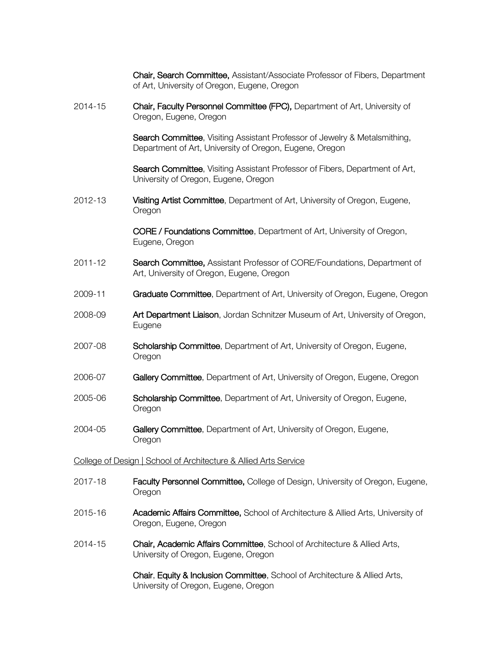Chair, Search Committee, Assistant/Associate Professor of Fibers, Department of Art, University of Oregon, Eugene, Oregon

2014-15 **Chair, Faculty Personnel Committee (FPC),** Department of Art, University of Oregon, Eugene, Oregon

> Search Committee, Visiting Assistant Professor of Jewelry & Metalsmithing, Department of Art, University of Oregon, Eugene, Oregon

Search Committee, Visiting Assistant Professor of Fibers, Department of Art, University of Oregon, Eugene, Oregon

2012-13 Visiting Artist Committee, Department of Art, University of Oregon, Eugene, Oregon

> CORE / Foundations Committee, Department of Art, University of Oregon, Eugene, Oregon

- 2011-12 Search Committee, Assistant Professor of CORE/Foundations, Department of Art, University of Oregon, Eugene, Oregon
- 2009-11 **Graduate Committee**, Department of Art, University of Oregon, Eugene, Oregon
- 2008-09 **Art Department Liaison**, Jordan Schnitzer Museum of Art, University of Oregon, Eugene
- 2007-08 **Scholarship Committee**, Department of Art, University of Oregon, Eugene, Oregon
- 2006-07 Gallery Committee, Department of Art, University of Oregon, Eugene, Oregon
- 2005-06 **Scholarship Committee**, Department of Art, University of Oregon, Eugene, **Oregon**
- 2004-05 Gallery Committee, Department of Art, University of Oregon, Eugene, **Oregon**

#### College of Design | School of Architecture & Allied Arts Service

- 2017-18 **Faculty Personnel Committee, College of Design, University of Oregon, Eugene,** Oregon
- 2015-16 Academic Affairs Committee, School of Architecture & Allied Arts, University of Oregon, Eugene, Oregon
- 2014-15 Chair, Academic Affairs Committee, School of Architecture & Allied Arts, University of Oregon, Eugene, Oregon

Chair, Equity & Inclusion Committee, School of Architecture & Allied Arts, University of Oregon, Eugene, Oregon